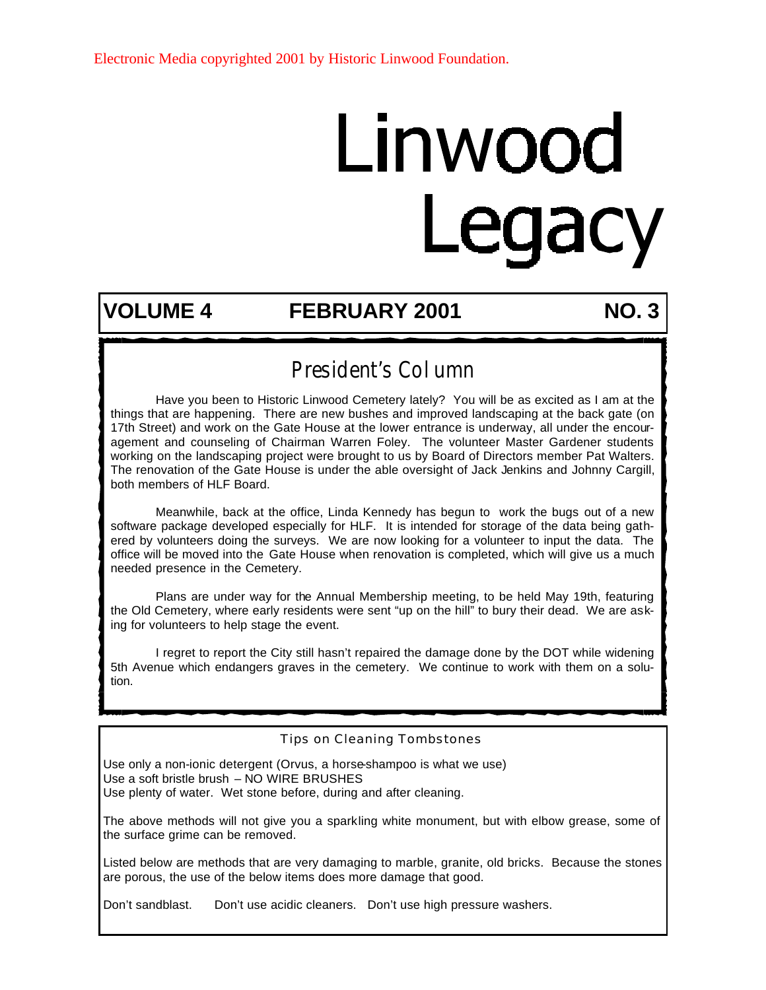# Linwood Legacy

#### **VOLUME 4 FEBRUARY 2001 NO. 3**

### President's Column

 Have you been to Historic Linwood Cemetery lately? You will be as excited as I am at the things that are happening. There are new bushes and improved landscaping at the back gate (on 17th Street) and work on the Gate House at the lower entrance is underway, all under the encouragement and counseling of Chairman Warren Foley. The volunteer Master Gardener students working on the landscaping project were brought to us by Board of Directors member Pat Walters. The renovation of the Gate House is under the able oversight of Jack Jenkins and Johnny Cargill, both members of HLF Board.

 Meanwhile, back at the office, Linda Kennedy has begun to work the bugs out of a new software package developed especially for HLF. It is intended for storage of the data being gathered by volunteers doing the surveys. We are now looking for a volunteer to input the data. The office will be moved into the Gate House when renovation is completed, which will give us a much needed presence in the Cemetery.

 Plans are under way for the Annual Membership meeting, to be held May 19th, featuring the Old Cemetery, where early residents were sent "up on the hill" to bury their dead. We are asking for volunteers to help stage the event.

 I regret to report the City still hasn't repaired the damage done by the DOT while widening 5th Avenue which endangers graves in the cemetery. We continue to work with them on a solution.

#### Tips on Cleaning Tombstones

Use only a non-ionic detergent (Orvus, a horse-shampoo is what we use) Use a soft bristle brush – NO WIRE BRUSHES Use plenty of water. Wet stone before, during and after cleaning.

The above methods will not give you a sparkling white monument, but with elbow grease, some of the surface grime can be removed.

Listed below are methods that are very damaging to marble, granite, old bricks. Because the stones are porous, the use of the below items does more damage that good.

Don't sandblast. Don't use acidic cleaners. Don't use high pressure washers.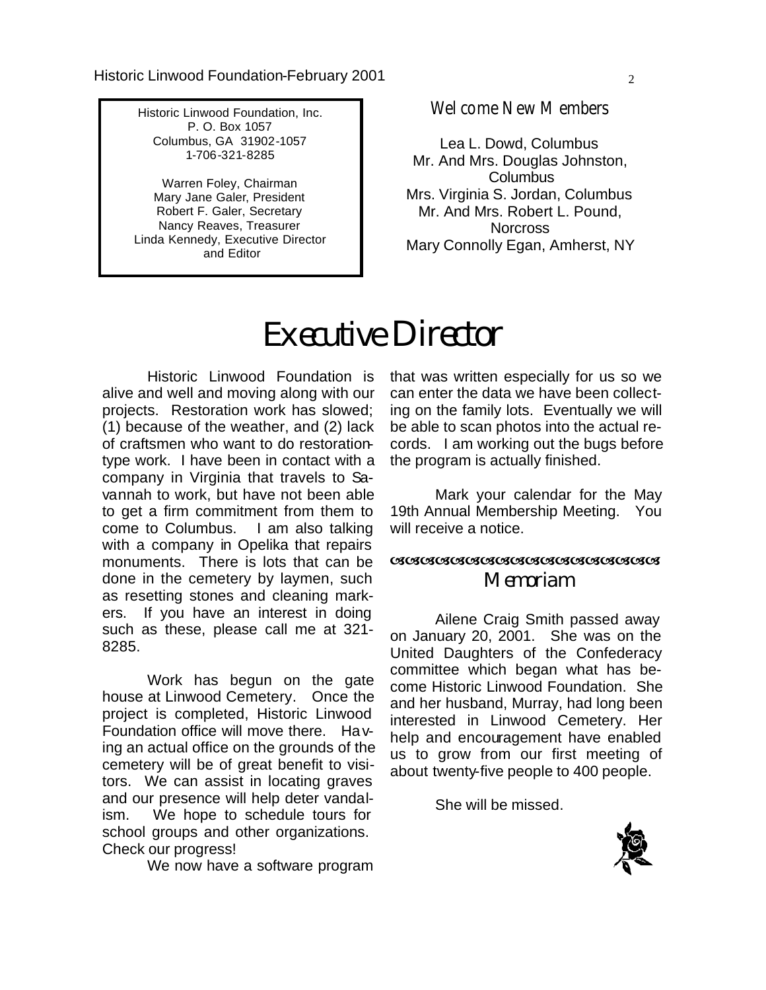Historic Linwood Foundation, Inc. P. O. Box 1057 Columbus, GA 31902-1057 1-706-321-8285

Warren Foley, Chairman Mary Jane Galer, President Robert F. Galer, Secretary Nancy Reaves, Treasurer Linda Kennedy, Executive Director and Editor

Welcome New Members

Lea L. Dowd, Columbus Mr. And Mrs. Douglas Johnston, Columbus Mrs. Virginia S. Jordan, Columbus Mr. And Mrs. Robert L. Pound, **Norcross** Mary Connolly Egan, Amherst, NY

## **Executive Director**

 Historic Linwood Foundation is alive and well and moving along with our projects. Restoration work has slowed; (1) because of the weather, and (2) lack of craftsmen who want to do restorationtype work. I have been in contact with a company in Virginia that travels to Savannah to work, but have not been able to get a firm commitment from them to come to Columbus. I am also talking with a company in Opelika that repairs monuments. There is lots that can be done in the cemetery by laymen, such as resetting stones and cleaning markers. If you have an interest in doing such as these, please call me at 321- 8285.

 Work has begun on the gate house at Linwood Cemetery. Once the project is completed, Historic Linwood Foundation office will move there. Having an actual office on the grounds of the cemetery will be of great benefit to visitors. We can assist in locating graves and our presence will help deter vandalism. We hope to schedule tours for school groups and other organizations. Check our progress!

We now have a software program

that was written especially for us so we can enter the data we have been collecting on the family lots. Eventually we will be able to scan photos into the actual records. I am working out the bugs before the program is actually finished.

 Mark your calendar for the May 19th Annual Membership Meeting. You will receive a notice.

#### aaaaaaaaaaaaaaaaaa  **Memoriam**

 Ailene Craig Smith passed away on January 20, 2001. She was on the United Daughters of the Confederacy committee which began what has become Historic Linwood Foundation. She and her husband, Murray, had long been interested in Linwood Cemetery. Her help and encouragement have enabled us to grow from our first meeting of about twenty-five people to 400 people.

She will be missed.

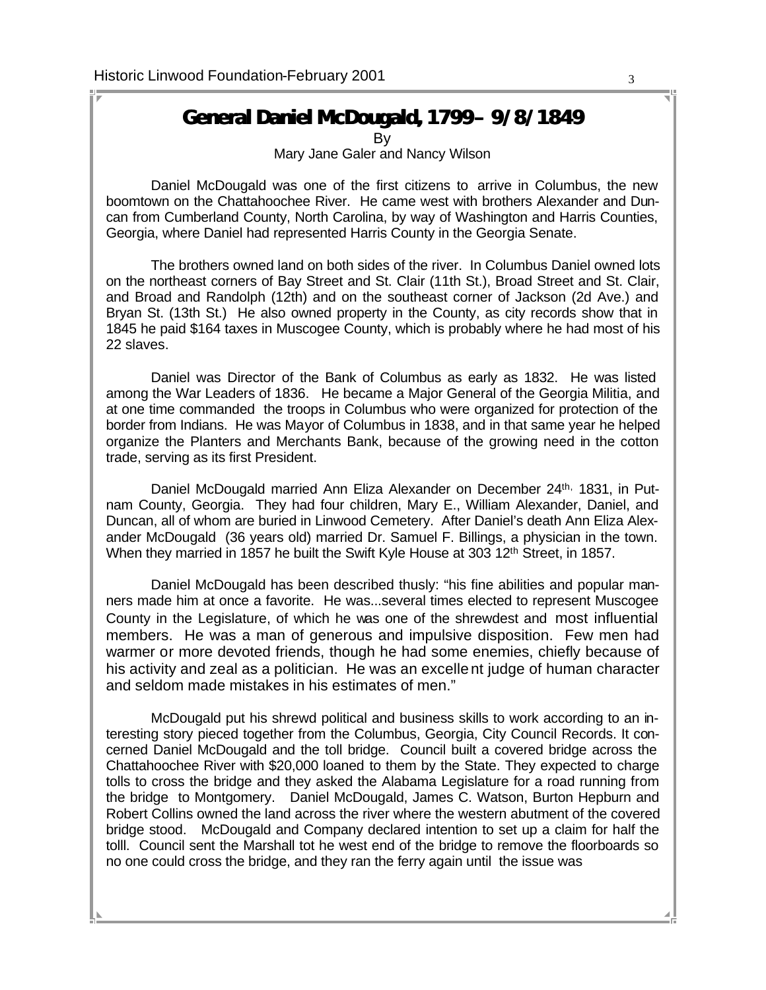#### **General Daniel McDougald, 1799– 9/8/1849**

By Mary Jane Galer and Nancy Wilson

 Daniel McDougald was one of the first citizens to arrive in Columbus, the new boomtown on the Chattahoochee River. He came west with brothers Alexander and Duncan from Cumberland County, North Carolina, by way of Washington and Harris Counties, Georgia, where Daniel had represented Harris County in the Georgia Senate.

 The brothers owned land on both sides of the river. In Columbus Daniel owned lots on the northeast corners of Bay Street and St. Clair (11th St.), Broad Street and St. Clair, and Broad and Randolph (12th) and on the southeast corner of Jackson (2d Ave.) and Bryan St. (13th St.) He also owned property in the County, as city records show that in 1845 he paid \$164 taxes in Muscogee County, which is probably where he had most of his 22 slaves.

 Daniel was Director of the Bank of Columbus as early as 1832. He was listed among the War Leaders of 1836. He became a Major General of the Georgia Militia, and at one time commanded the troops in Columbus who were organized for protection of the border from Indians. He was Mayor of Columbus in 1838, and in that same year he helped organize the Planters and Merchants Bank, because of the growing need in the cotton trade, serving as its first President.

Daniel McDougald married Ann Eliza Alexander on December 24th, 1831, in Putnam County, Georgia. They had four children, Mary E., William Alexander, Daniel, and Duncan, all of whom are buried in Linwood Cemetery. After Daniel's death Ann Eliza Alexander McDougald (36 years old) married Dr. Samuel F. Billings, a physician in the town. When they married in 1857 he built the Swift Kyle House at 303 12<sup>th</sup> Street, in 1857.

 Daniel McDougald has been described thusly: "his fine abilities and popular manners made him at once a favorite. He was...several times elected to represent Muscogee County in the Legislature, of which he was one of the shrewdest and most influential members. He was a man of generous and impulsive disposition. Few men had warmer or more devoted friends, though he had some enemies, chiefly because of his activity and zeal as a politician. He was an excellent judge of human character and seldom made mistakes in his estimates of men."

 McDougald put his shrewd political and business skills to work according to an interesting story pieced together from the Columbus, Georgia, City Council Records. It concerned Daniel McDougald and the toll bridge. Council built a covered bridge across the Chattahoochee River with \$20,000 loaned to them by the State. They expected to charge tolls to cross the bridge and they asked the Alabama Legislature for a road running from the bridge to Montgomery. Daniel McDougald, James C. Watson, Burton Hepburn and Robert Collins owned the land across the river where the western abutment of the covered bridge stood. McDougald and Company declared intention to set up a claim for half the tolll. Council sent the Marshall tot he west end of the bridge to remove the floorboards so no one could cross the bridge, and they ran the ferry again until the issue was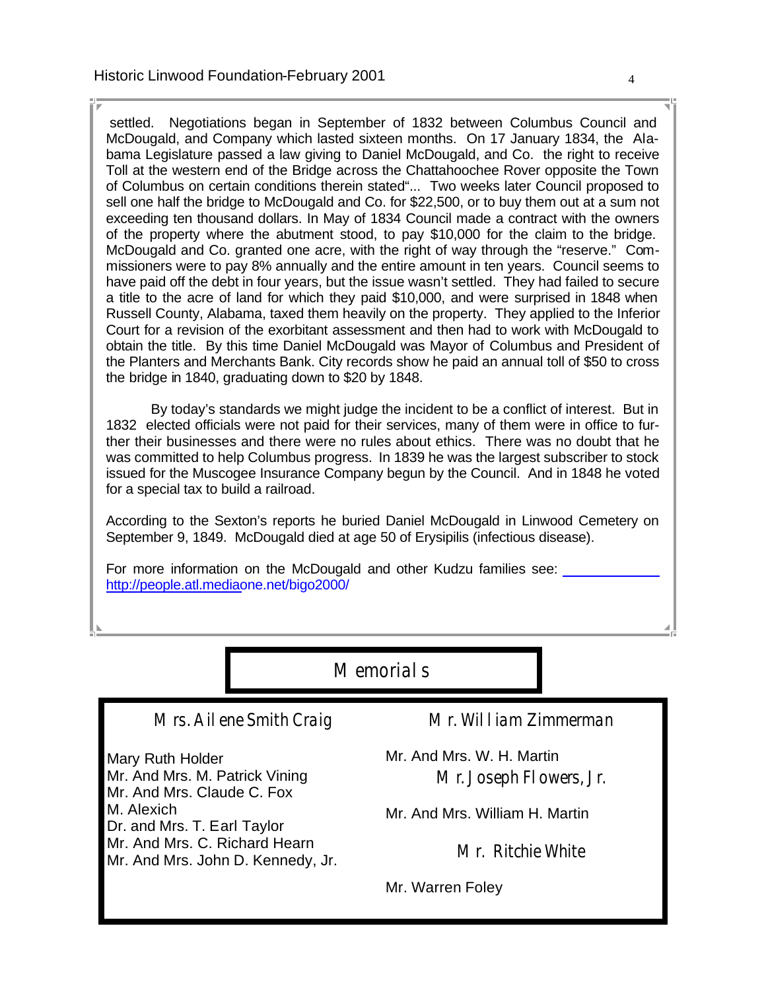settled. Negotiations began in September of 1832 between Columbus Council and McDougald, and Company which lasted sixteen months. On 17 January 1834, the Alabama Legislature passed a law giving to Daniel McDougald, and Co. the right to receive Toll at the western end of the Bridge across the Chattahoochee Rover opposite the Town of Columbus on certain conditions therein stated"... Two weeks later Council proposed to sell one half the bridge to McDougald and Co. for \$22,500, or to buy them out at a sum not exceeding ten thousand dollars. In May of 1834 Council made a contract with the owners of the property where the abutment stood, to pay \$10,000 for the claim to the bridge. McDougald and Co. granted one acre, with the right of way through the "reserve." Commissioners were to pay 8% annually and the entire amount in ten years. Council seems to have paid off the debt in four years, but the issue wasn't settled. They had failed to secure a title to the acre of land for which they paid \$10,000, and were surprised in 1848 when Russell County, Alabama, taxed them heavily on the property. They applied to the Inferior Court for a revision of the exorbitant assessment and then had to work with McDougald to obtain the title. By this time Daniel McDougald was Mayor of Columbus and President of the Planters and Merchants Bank. City records show he paid an annual toll of \$50 to cross the bridge in 1840, graduating down to \$20 by 1848.

 By today's standards we might judge the incident to be a conflict of interest. But in 1832 elected officials were not paid for their services, many of them were in office to further their businesses and there were no rules about ethics. There was no doubt that he was committed to help Columbus progress. In 1839 he was the largest subscriber to stock issued for the Muscogee Insurance Company begun by the Council. And in 1848 he voted for a special tax to build a railroad.

According to the Sexton's reports he buried Daniel McDougald in Linwood Cemetery on September 9, 1849. McDougald died at age 50 of Erysipilis (infectious disease).

For more information on the McDougald and other Kudzu families see: http://people.atl.mediaone.net/bigo2000/

Memorials

Mrs. Ailene Smith Craig

Mary Ruth Holder Mr. And Mrs. M. Patrick Vining Mr. And Mrs. Claude C. Fox M. Alexich Dr. and Mrs. T. Earl Taylor Mr. And Mrs. C. Richard Hearn Mr. And Mrs. John D. Kennedy, Jr. Mr. William Zimmerman

Mr. And Mrs. W. H. Martin Mr. Joseph Flowers, Jr.

Mr. And Mrs. William H. Martin

Mr. Ritchie White

Mr. Warren Foley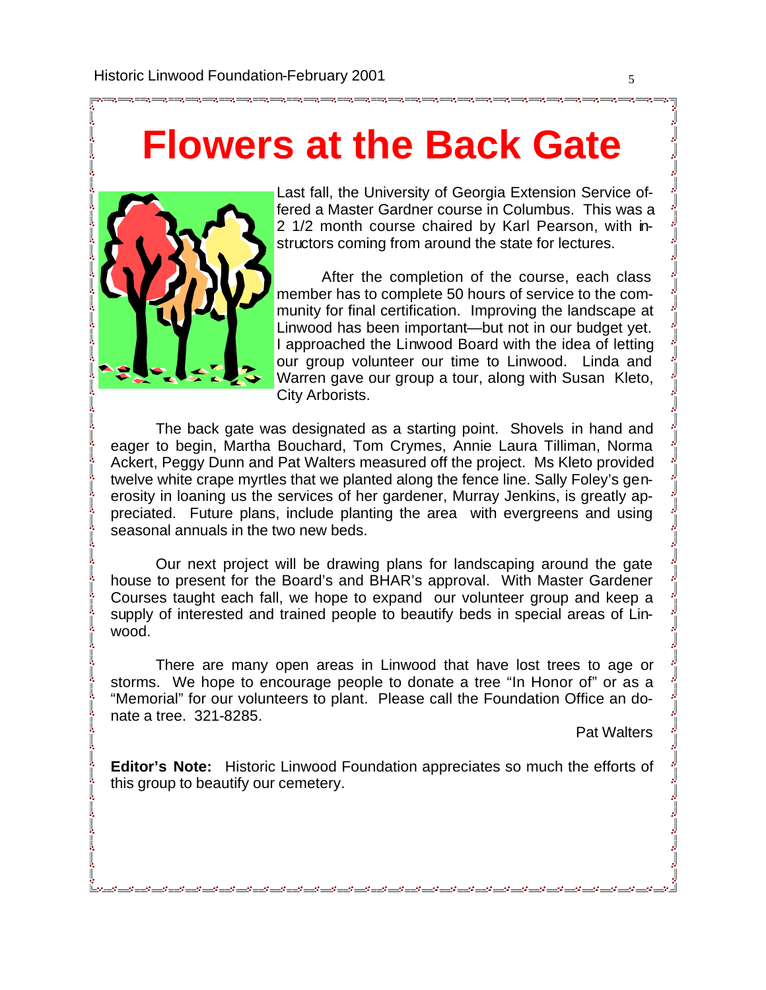## **Flowers at the Back Gate**



Last fall, the University of Georgia Extension Service offered a Master Gardner course in Columbus. This was a 2 1/2 month course chaired by Karl Pearson, with instructors coming from around the state for lectures.

 After the completion of the course, each class member has to complete 50 hours of service to the community for final certification. Improving the landscape at Linwood has been important—but not in our budget yet. I approached the Linwood Board with the idea of letting our group volunteer our time to Linwood. Linda and Warren gave our group a tour, along with Susan Kleto, City Arborists.

 The back gate was designated as a starting point. Shovels in hand and eager to begin, Martha Bouchard, Tom Crymes, Annie Laura Tilliman, Norma Ackert, Peggy Dunn and Pat Walters measured off the project. Ms Kleto provided twelve white crape myrtles that we planted along the fence line. Sally Foley's generosity in loaning us the services of her gardener, Murray Jenkins, is greatly appreciated. Future plans, include planting the area with evergreens and using seasonal annuals in the two new beds.

 Our next project will be drawing plans for landscaping around the gate house to present for the Board's and BHAR's approval. With Master Gardener Courses taught each fall, we hope to expand our volunteer group and keep a supply of interested and trained people to beautify beds in special areas of Linwood.

 There are many open areas in Linwood that have lost trees to age or storms. We hope to encourage people to donate a tree "In Honor of" or as a "Memorial" for our volunteers to plant. Please call the Foundation Office an donate a tree. 321-8285.

Pat Walters

**Editor's Note:** Historic Linwood Foundation appreciates so much the efforts of this group to beautify our cemetery.

المحمد لمحمد للحمد المحمد للحمد المحمد للحمد المحمد المحمد الحمد الحمد المحمد الحمد الحمد الحمد المحمد المحمد المحمد